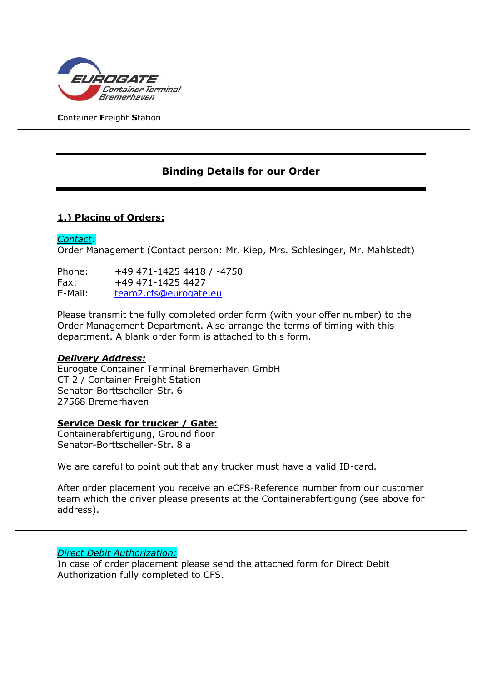

**C**ontainer **F**reight **S**tation

# **Binding Details for our Order**

## **1.) Placing of Orders:**

#### *Contact:*

Order Management (Contact person: Mr. Kiep, Mrs. Schlesinger, Mr. Mahlstedt)

Phone: +49 471-1425 4418 / -4750 Fax: +49 471-1425 4427 E-Mail: [team2.cfs@eurogate.eu](mailto:team2.cfs@eurogate.eu)

Please transmit the fully completed order form (with your offer number) to the Order Management Department. Also arrange the terms of timing with this department. A blank order form is attached to this form.

## *Delivery Address:*

Eurogate Container Terminal Bremerhaven GmbH CT 2 / Container Freight Station Senator-Borttscheller-Str. 6 27568 Bremerhaven

#### **Service Desk for trucker / Gate:**

Containerabfertigung, Ground floor Senator-Borttscheller-Str. 8 a

We are careful to point out that any trucker must have a valid ID-card.

After order placement you receive an eCFS-Reference number from our customer team which the driver please presents at the Containerabfertigung (see above for address).

*Direct Debit Authorization:*

In case of order placement please send the attached form for Direct Debit Authorization fully completed to CFS.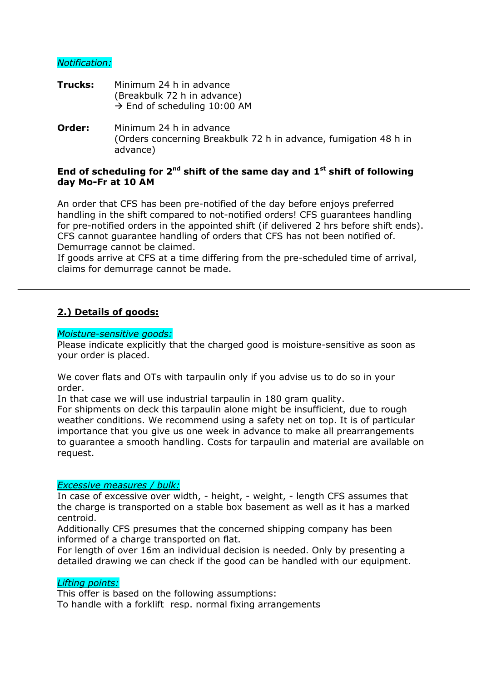#### *Notification:*

- **Trucks:** Minimum 24 h in advance (Breakbulk 72 h in advance)  $\rightarrow$  End of scheduling 10:00 AM
- **Order:** Minimum 24 h in advance (Orders concerning Breakbulk 72 h in advance, fumigation 48 h in advance)

## **End of scheduling for 2nd shift of the same day and 1st shift of following day Mo-Fr at 10 AM**

An order that CFS has been pre-notified of the day before enjoys preferred handling in the shift compared to not-notified orders! CFS guarantees handling for pre-notified orders in the appointed shift (if delivered 2 hrs before shift ends). CFS cannot guarantee handling of orders that CFS has not been notified of. Demurrage cannot be claimed.

If goods arrive at CFS at a time differing from the pre-scheduled time of arrival, claims for demurrage cannot be made.

## **2.) Details of goods:**

#### *Moisture-sensitive goods:*

Please indicate explicitly that the charged good is moisture-sensitive as soon as your order is placed.

We cover flats and OTs with tarpaulin only if you advise us to do so in your order.

In that case we will use industrial tarpaulin in 180 gram quality.

For shipments on deck this tarpaulin alone might be insufficient, due to rough weather conditions. We recommend using a safety net on top. It is of particular importance that you give us one week in advance to make all prearrangements to guarantee a smooth handling. Costs for tarpaulin and material are available on request.

#### *Excessive measures / bulk:*

In case of excessive over width, - height, - weight, - length CFS assumes that the charge is transported on a stable box basement as well as it has a marked centroid.

Additionally CFS presumes that the concerned shipping company has been informed of a charge transported on flat.

For length of over 16m an individual decision is needed. Only by presenting a detailed drawing we can check if the good can be handled with our equipment.

#### *Lifting points:*

This offer is based on the following assumptions:

To handle with a forklift resp. normal fixing arrangements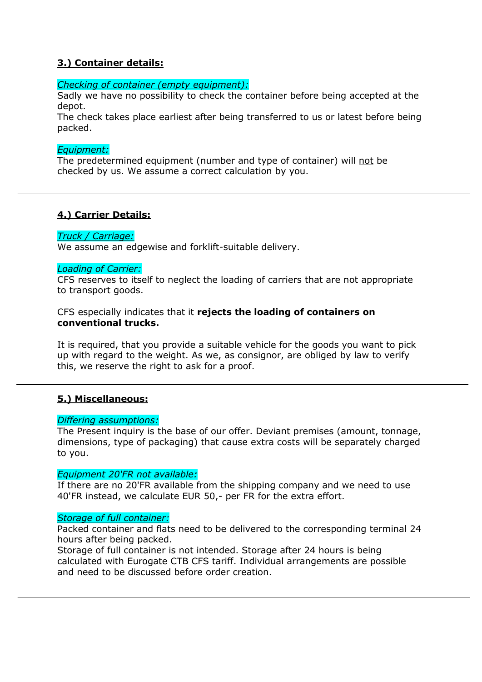## **3.) Container details:**

#### *Checking of container (empty equipment):*

Sadly we have no possibility to check the container before being accepted at the depot.

The check takes place earliest after being transferred to us or latest before being packed.

#### *Equipment:*

The predetermined equipment (number and type of container) will not be checked by us. We assume a correct calculation by you.

#### **4.) Carrier Details:**

#### *Truck / Carriage:*

We assume an edgewise and forklift-suitable delivery.

#### *Loading of Carrier:*

CFS reserves to itself to neglect the loading of carriers that are not appropriate to transport goods.

#### CFS especially indicates that it **rejects the loading of containers on conventional trucks.**

It is required, that you provide a suitable vehicle for the goods you want to pick up with regard to the weight. As we, as consignor, are obliged by law to verify this, we reserve the right to ask for a proof.

#### **5.) Miscellaneous:**

#### *Differing assumptions:*

The Present inquiry is the base of our offer. Deviant premises (amount, tonnage, dimensions, type of packaging) that cause extra costs will be separately charged to you.

#### *Equipment 20'FR not available:*

If there are no 20'FR available from the shipping company and we need to use 40'FR instead, we calculate EUR 50,- per FR for the extra effort.

#### *Storage of full container:*

Packed container and flats need to be delivered to the corresponding terminal 24 hours after being packed.

Storage of full container is not intended. Storage after 24 hours is being calculated with Eurogate CTB CFS tariff. Individual arrangements are possible and need to be discussed before order creation.